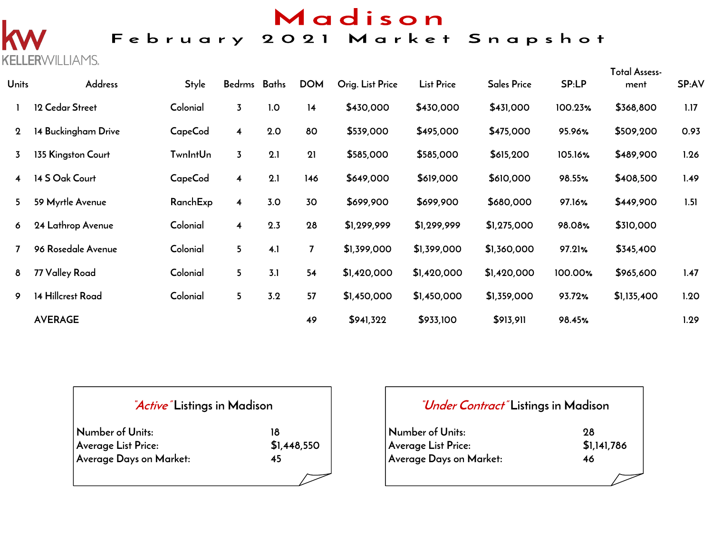# Madison

### February 2021 Market Snapshot

**KELLERWILLIAMS.** 

| <b>Units</b> | <b>Address</b>      | <b>Style</b>    | Bedrms Baths            |     | <b>DOM</b> | Orig. List Price | <b>List Price</b> | <b>Sales Price</b> | <b>SP:LP</b> | <b>Total Assess-</b><br>ment | SP:AV |
|--------------|---------------------|-----------------|-------------------------|-----|------------|------------------|-------------------|--------------------|--------------|------------------------------|-------|
|              | 12 Cedar Street     | Colonial        | $\overline{3}$          | 1.0 | 14         | \$430,000        | \$430,000         | \$431,000          | 100.23%      | \$368,800                    | 1.17  |
| $\mathbf 2$  | 14 Buckingham Drive | CapeCod         | $\overline{4}$          | 2.0 | 80         | \$539,000        | \$495,000         | \$475,000          | 95.96%       | \$509,200                    | 0.93  |
| 3            | 135 Kingston Court  | <b>TwnIntUn</b> | $\overline{3}$          | 2.1 | 21         | \$585,000        | \$585,000         | \$615,200          | 105.16%      | \$489,900                    | 1.26  |
| 4            | 14 S Oak Court      | <b>CapeCod</b>  | $\overline{4}$          | 2.1 | 146        | \$649,000        | \$619,000         | \$610,000          | 98.55%       | \$408,500                    | 1.49  |
| 5            | 59 Myrtle Avenue    | RanchExp        | 4                       | 3.0 | 30         | \$699,900        | \$699,900         | \$680,000          | 97.16%       | \$449,900                    | 1.51  |
| 6            | 24 Lathrop Avenue   | Colonial        | $\overline{\mathbf{4}}$ | 2.3 | 28         | \$1,299,999      | \$1,299,999       | \$1,275,000        | 98.08%       | \$310,000                    |       |
|              | 96 Rosedale Avenue  | Colonial        | 5 <sup>1</sup>          | 4.1 | 7          | \$1,399,000      | \$1,399,000       | \$1,360,000        | 97.21%       | \$345,400                    |       |
| 8            | 77 Valley Road      | Colonial        | 5 <sub>1</sub>          | 3.1 | 54         | \$1,420,000      | \$1,420,000       | \$1,420,000        | 100.00%      | \$965,600                    | 1.47  |
| 9            | 14 Hillcrest Road   | Colonial        | 5 <sub>1</sub>          | 3.2 | 57         | \$1,450,000      | \$1,450,000       | \$1,359,000        | 93.72%       | \$1,135,400                  | 1.20  |
|              | <b>AVERAGE</b>      |                 |                         |     | 49         | \$941,322        | \$933,100         | \$913,911          | 98.45%       |                              | 1.29  |

#### **"Active" Listings in Madison**

| Number of Units:        | 18          |
|-------------------------|-------------|
| Average List Price:     | \$1,448,550 |
| Average Days on Market: | 45          |

#### **"Under Contract" Listings in Madison**

| Number of Units:        | 98          |
|-------------------------|-------------|
| Average List Price:     | \$1,141,786 |
| Average Days on Market: | 46          |
|                         |             |